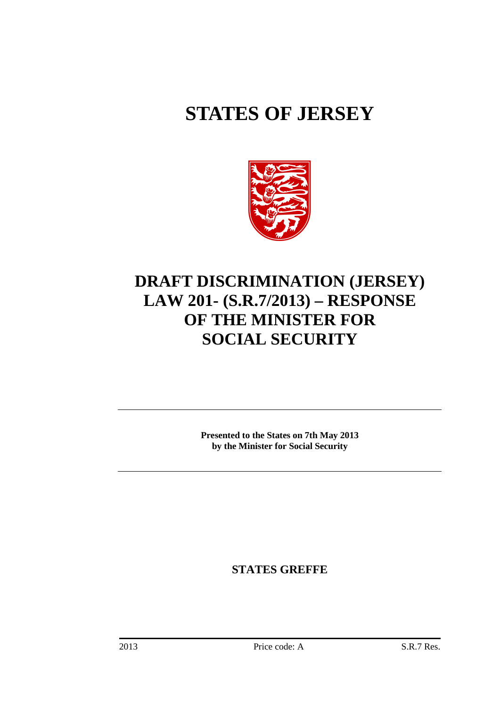# **STATES OF JERSEY**



# **DRAFT DISCRIMINATION (JERSEY) LAW 201- (S.R.7/2013) – RESPONSE OF THE MINISTER FOR SOCIAL SECURITY**

**Presented to the States on 7th May 2013 by the Minister for Social Security**

**STATES GREFFE**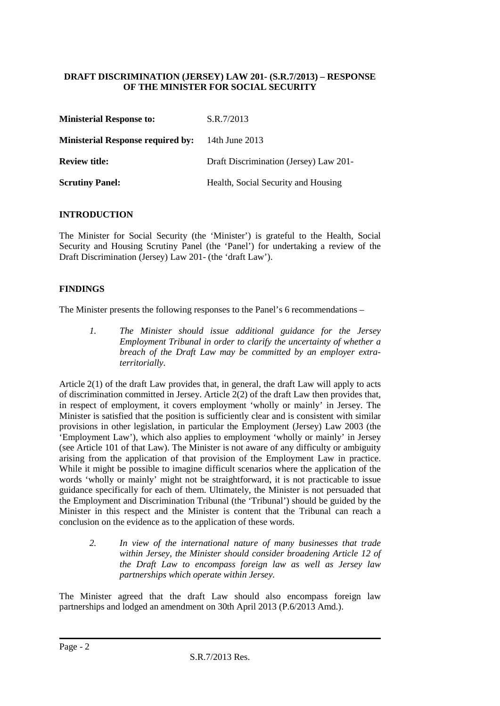## **DRAFT DISCRIMINATION (JERSEY) LAW 201- (S.R.7/2013) – RESPONSE OF THE MINISTER FOR SOCIAL SECURITY**

| <b>Ministerial Response to:</b>          | S.R.7/2013                             |
|------------------------------------------|----------------------------------------|
| <b>Ministerial Response required by:</b> | 14th June 2013                         |
| <b>Review title:</b>                     | Draft Discrimination (Jersey) Law 201- |
| <b>Scrutiny Panel:</b>                   | Health, Social Security and Housing    |

### **INTRODUCTION**

The Minister for Social Security (the 'Minister') is grateful to the Health, Social Security and Housing Scrutiny Panel (the 'Panel') for undertaking a review of the Draft Discrimination (Jersey) Law 201- (the 'draft Law').

### **FINDINGS**

The Minister presents the following responses to the Panel's 6 recommendations –

*1. The Minister should issue additional guidance for the Jersey Employment Tribunal in order to clarify the uncertainty of whether a breach of the Draft Law may be committed by an employer extraterritorially.* 

Article 2(1) of the draft Law provides that, in general, the draft Law will apply to acts of discrimination committed in Jersey. Article 2(2) of the draft Law then provides that, in respect of employment, it covers employment 'wholly or mainly' in Jersey. The Minister is satisfied that the position is sufficiently clear and is consistent with similar provisions in other legislation, in particular the Employment (Jersey) Law 2003 (the 'Employment Law'), which also applies to employment 'wholly or mainly' in Jersey (see Article 101 of that Law). The Minister is not aware of any difficulty or ambiguity arising from the application of that provision of the Employment Law in practice. While it might be possible to imagine difficult scenarios where the application of the words 'wholly or mainly' might not be straightforward, it is not practicable to issue guidance specifically for each of them. Ultimately, the Minister is not persuaded that the Employment and Discrimination Tribunal (the 'Tribunal') should be guided by the Minister in this respect and the Minister is content that the Tribunal can reach a conclusion on the evidence as to the application of these words.

*2. In view of the international nature of many businesses that trade within Jersey, the Minister should consider broadening Article 12 of the Draft Law to encompass foreign law as well as Jersey law partnerships which operate within Jersey.* 

The Minister agreed that the draft Law should also encompass foreign law partnerships and lodged an amendment on 30th April 2013 (P.6/2013 Amd.).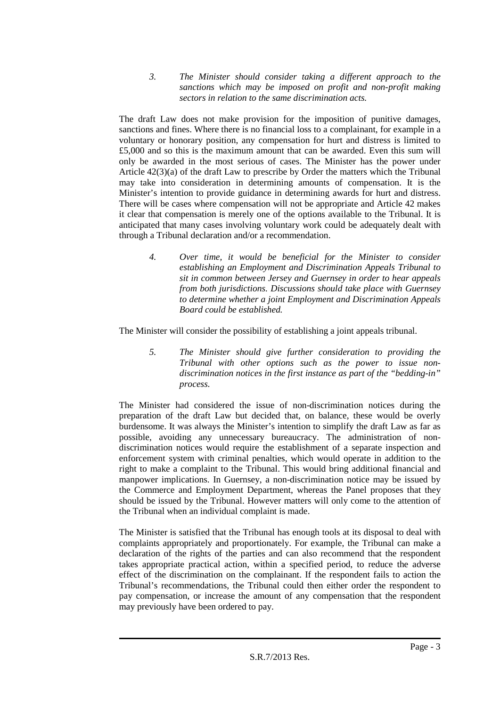*3. The Minister should consider taking a different approach to the sanctions which may be imposed on profit and non-profit making sectors in relation to the same discrimination acts.* 

The draft Law does not make provision for the imposition of punitive damages, sanctions and fines. Where there is no financial loss to a complainant, for example in a voluntary or honorary position, any compensation for hurt and distress is limited to £5,000 and so this is the maximum amount that can be awarded. Even this sum will only be awarded in the most serious of cases. The Minister has the power under Article 42(3)(a) of the draft Law to prescribe by Order the matters which the Tribunal may take into consideration in determining amounts of compensation. It is the Minister's intention to provide guidance in determining awards for hurt and distress. There will be cases where compensation will not be appropriate and Article 42 makes it clear that compensation is merely one of the options available to the Tribunal. It is anticipated that many cases involving voluntary work could be adequately dealt with through a Tribunal declaration and/or a recommendation.

*4. Over time, it would be beneficial for the Minister to consider establishing an Employment and Discrimination Appeals Tribunal to sit in common between Jersey and Guernsey in order to hear appeals from both jurisdictions. Discussions should take place with Guernsey to determine whether a joint Employment and Discrimination Appeals Board could be established.* 

The Minister will consider the possibility of establishing a joint appeals tribunal.

*5. The Minister should give further consideration to providing the Tribunal with other options such as the power to issue nondiscrimination notices in the first instance as part of the "bedding-in" process.* 

The Minister had considered the issue of non-discrimination notices during the preparation of the draft Law but decided that, on balance, these would be overly burdensome. It was always the Minister's intention to simplify the draft Law as far as possible, avoiding any unnecessary bureaucracy. The administration of nondiscrimination notices would require the establishment of a separate inspection and enforcement system with criminal penalties, which would operate in addition to the right to make a complaint to the Tribunal. This would bring additional financial and manpower implications. In Guernsey, a non-discrimination notice may be issued by the Commerce and Employment Department, whereas the Panel proposes that they should be issued by the Tribunal. However matters will only come to the attention of the Tribunal when an individual complaint is made.

The Minister is satisfied that the Tribunal has enough tools at its disposal to deal with complaints appropriately and proportionately. For example, the Tribunal can make a declaration of the rights of the parties and can also recommend that the respondent takes appropriate practical action, within a specified period, to reduce the adverse effect of the discrimination on the complainant. If the respondent fails to action the Tribunal's recommendations, the Tribunal could then either order the respondent to pay compensation, or increase the amount of any compensation that the respondent may previously have been ordered to pay.